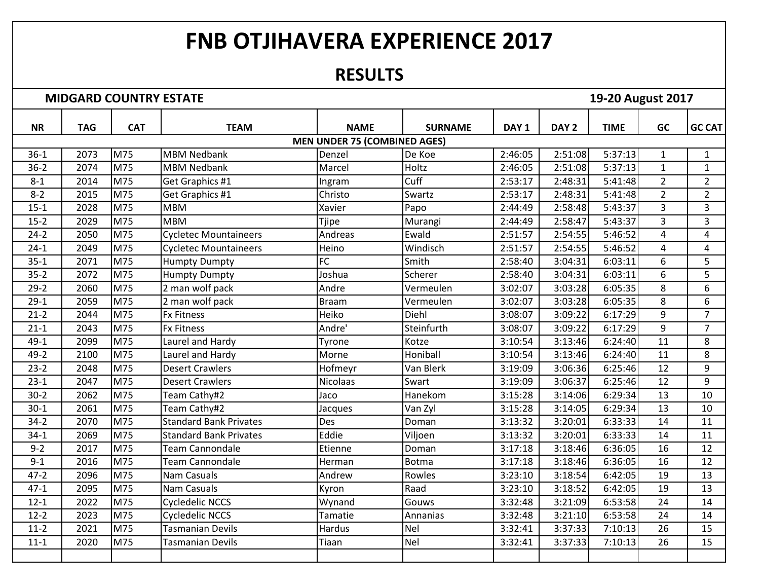## **FNB OTJIHAVERA EXPERIENCE 2017**

## **RESULTS**

**MIDGARD COUNTRY ESTATE 19-20 August 2017** 

| <b>NR</b> | <b>TAG</b> | <b>CAT</b> | <b>TEAM</b>                   | <b>NAME</b>                         | <b>SURNAME</b> | DAY <sub>1</sub> | DAY <sub>2</sub> | <b>TIME</b> | <b>GC</b>      | <b>GC CAT</b>  |
|-----------|------------|------------|-------------------------------|-------------------------------------|----------------|------------------|------------------|-------------|----------------|----------------|
|           |            |            |                               | <b>MEN UNDER 75 (COMBINED AGES)</b> |                |                  |                  |             |                |                |
| $36-1$    | 2073       | M75        | <b>MBM Nedbank</b>            | Denzel                              | De Koe         | 2:46:05          | 2:51:08          | 5:37:13     | $\mathbf{1}$   | $\mathbf{1}$   |
| $36 - 2$  | 2074       | M75        | <b>MBM Nedbank</b>            | Marcel                              | Holtz          | 2:46:05          | 2:51:08          | 5:37:13     | $\mathbf{1}$   | $\mathbf{1}$   |
| $8 - 1$   | 2014       | M75        | Get Graphics #1               | Ingram                              | Cuff           | 2:53:17          | 2:48:31          | 5:41:48     | $\overline{2}$ | $\overline{2}$ |
| $8 - 2$   | 2015       | M75        | Get Graphics #1               | Christo                             | Swartz         | 2:53:17          | 2:48:31          | 5:41:48     | $\overline{2}$ | $\overline{2}$ |
| $15 - 1$  | 2028       | M75        | <b>MBM</b>                    | Xavier                              | Papo           | 2:44:49          | 2:58:48          | 5:43:37     | 3              | 3              |
| $15 - 2$  | 2029       | M75        | <b>MBM</b>                    | Tjipe                               | Murangi        | 2:44:49          | 2:58:47          | 5:43:37     | $\overline{3}$ | 3              |
| $24 - 2$  | 2050       | M75        | <b>Cycletec Mountaineers</b>  | Andreas                             | Ewald          | 2:51:57          | 2:54:55          | 5:46:52     | $\overline{4}$ | $\overline{4}$ |
| $24-1$    | 2049       | M75        | <b>Cycletec Mountaineers</b>  | Heino                               | Windisch       | 2:51:57          | 2:54:55          | 5:46:52     | $\overline{4}$ | 4              |
| $35 - 1$  | 2071       | M75        | <b>Humpty Dumpty</b>          | FC                                  | Smith          | 2:58:40          | 3:04:31          | 6:03:11     | 6              | 5              |
| $35 - 2$  | 2072       | M75        | <b>Humpty Dumpty</b>          | Joshua                              | Scherer        | 2:58:40          | 3:04:31          | 6:03:11     | 6              | 5              |
| $29 - 2$  | 2060       | M75        | 2 man wolf pack               | Andre                               | Vermeulen      | 3:02:07          | 3:03:28          | 6:05:35     | 8              | 6              |
| $29-1$    | 2059       | M75        | 2 man wolf pack               | <b>Braam</b>                        | Vermeulen      | 3:02:07          | 3:03:28          | 6:05:35     | 8              | 6              |
| $21 - 2$  | 2044       | M75        | <b>Fx Fitness</b>             | Heiko                               | Diehl          | 3:08:07          | 3:09:22          | 6:17:29     | 9              | $\overline{7}$ |
| $21 - 1$  | 2043       | M75        | <b>Fx Fitness</b>             | Andre'                              | Steinfurth     | 3:08:07          | 3:09:22          | 6:17:29     | 9              | $\overline{7}$ |
| $49 - 1$  | 2099       | M75        | Laurel and Hardy              | Tyrone                              | Kotze          | 3:10:54          | 3:13:46          | 6:24:40     | 11             | 8              |
| $49 - 2$  | 2100       | M75        | Laurel and Hardy              | Morne                               | Honiball       | 3:10:54          | 3:13:46          | 6:24:40     | 11             | 8              |
| $23 - 2$  | 2048       | M75        | <b>Desert Crawlers</b>        | Hofmeyr                             | Van Blerk      | 3:19:09          | 3:06:36          | 6:25:46     | 12             | 9              |
| $23-1$    | 2047       | M75        | <b>Desert Crawlers</b>        | <b>Nicolaas</b>                     | Swart          | 3:19:09          | 3:06:37          | 6:25:46     | 12             | 9              |
| $30 - 2$  | 2062       | M75        | Team Cathy#2                  | Jaco                                | Hanekom        | 3:15:28          | 3:14:06          | 6:29:34     | 13             | 10             |
| $30 - 1$  | 2061       | M75        | Team Cathy#2                  | Jacques                             | Van Zyl        | 3:15:28          | 3:14:05          | 6:29:34     | 13             | 10             |
| $34 - 2$  | 2070       | M75        | <b>Standard Bank Privates</b> | Des                                 | Doman          | 3:13:32          | 3:20:01          | 6:33:33     | 14             | 11             |
| $34-1$    | 2069       | M75        | <b>Standard Bank Privates</b> | Eddie                               | Viljoen        | 3:13:32          | 3:20:01          | 6:33:33     | 14             | 11             |
| $9 - 2$   | 2017       | M75        | <b>Team Cannondale</b>        | Etienne                             | Doman          | 3:17:18          | 3:18:46          | 6:36:05     | 16             | 12             |
| $9 - 1$   | 2016       | M75        | <b>Team Cannondale</b>        | Herman                              | <b>Botma</b>   | 3:17:18          | 3:18:46          | 6:36:05     | 16             | 12             |
| $47 - 2$  | 2096       | M75        | <b>Nam Casuals</b>            | Andrew                              | Rowles         | 3:23:10          | 3:18:54          | 6:42:05     | 19             | 13             |
| $47 - 1$  | 2095       | M75        | Nam Casuals                   | Kyron                               | Raad           | 3:23:10          | 3:18:52          | 6:42:05     | 19             | 13             |
| $12 - 1$  | 2022       | M75        | <b>Cycledelic NCCS</b>        | Wynand                              | Gouws          | 3:32:48          | 3:21:09          | 6:53:58     | 24             | 14             |
| $12 - 2$  | 2023       | M75        | <b>Cycledelic NCCS</b>        | Tamatie                             | Annanias       | 3:32:48          | 3:21:10          | 6:53:58     | 24             | 14             |
| $11-2$    | 2021       | M75        | <b>Tasmanian Devils</b>       | Hardus                              | Nel            | 3:32:41          | 3:37:33          | 7:10:13     | 26             | 15             |
| $11 - 1$  | 2020       | M75        | <b>Tasmanian Devils</b>       | Tiaan                               | <b>Nel</b>     | 3:32:41          | 3:37:33          | 7:10:13     | 26             | 15             |
|           |            |            |                               |                                     |                |                  |                  |             |                |                |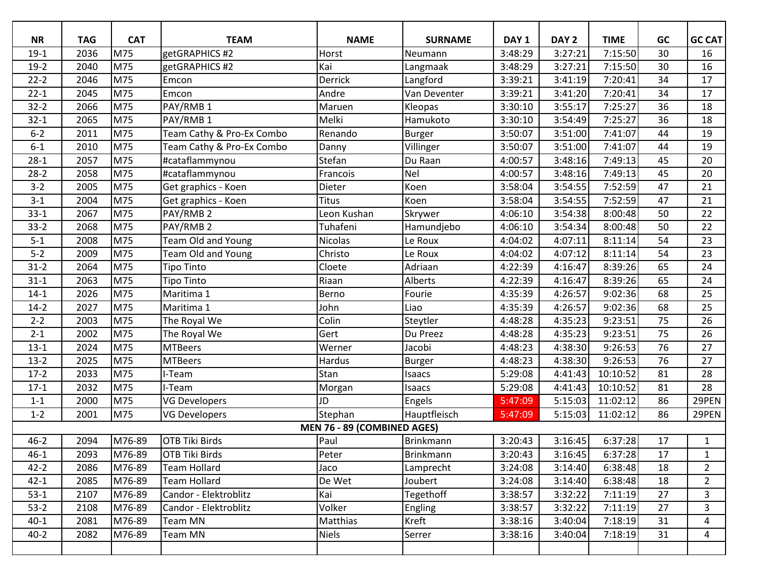| <b>NR</b> | <b>TAG</b> | <b>CAT</b> | <b>TEAM</b>               | <b>NAME</b>                 | <b>SURNAME</b>   | DAY <sub>1</sub> | DAY <sub>2</sub> | <b>TIME</b> | GC | <b>GC CAT</b>  |
|-----------|------------|------------|---------------------------|-----------------------------|------------------|------------------|------------------|-------------|----|----------------|
| $19-1$    | 2036       | M75        | getGRAPHICS #2            | Horst                       | Neumann          | 3:48:29          | 3:27:21          | 7:15:50     | 30 | 16             |
| $19-2$    | 2040       | M75        | getGRAPHICS #2            | Kai                         | Langmaak         | 3:48:29          | 3:27:21          | 7:15:50     | 30 | 16             |
| $22 - 2$  | 2046       | M75        | Emcon                     | Derrick                     | Langford         | 3:39:21          | 3:41:19          | 7:20:41     | 34 | 17             |
| $22 - 1$  | 2045       | M75        | Emcon                     | Andre                       | Van Deventer     | 3:39:21          | 3:41:20          | 7:20:41     | 34 | 17             |
| $32 - 2$  | 2066       | M75        | PAY/RMB 1                 | Maruen                      | Kleopas          | 3:30:10          | 3:55:17          | 7:25:27     | 36 | 18             |
| $32 - 1$  | 2065       | M75        | PAY/RMB 1                 | Melki                       | Hamukoto         | 3:30:10          | 3:54:49          | 7:25:27     | 36 | 18             |
| $6 - 2$   | 2011       | M75        | Team Cathy & Pro-Ex Combo | Renando                     | <b>Burger</b>    | 3:50:07          | 3:51:00          | 7:41:07     | 44 | 19             |
| $6 - 1$   | 2010       | M75        | Team Cathy & Pro-Ex Combo | Danny                       | Villinger        | 3:50:07          | 3:51:00          | 7:41:07     | 44 | 19             |
| $28-1$    | 2057       | M75        | #cataflammynou            | Stefan                      | Du Raan          | 4:00:57          | 3:48:16          | 7:49:13     | 45 | 20             |
| $28-2$    | 2058       | M75        | #cataflammynou            | Francois                    | Nel              | 4:00:57          | 3:48:16          | 7:49:13     | 45 | 20             |
| $3 - 2$   | 2005       | M75        | Get graphics - Koen       | Dieter                      | Koen             | 3:58:04          | 3:54:55          | 7:52:59     | 47 | 21             |
| $3 - 1$   | 2004       | M75        | Get graphics - Koen       | <b>Titus</b>                | Koen             | 3:58:04          | 3:54:55          | 7:52:59     | 47 | 21             |
| $33-1$    | 2067       | M75        | PAY/RMB 2                 | Leon Kushan                 | Skrywer          | 4:06:10          | 3:54:38          | 8:00:48     | 50 | 22             |
| $33-2$    | 2068       | M75        | PAY/RMB <sub>2</sub>      | Tuhafeni                    | Hamundjebo       | 4:06:10          | 3:54:34          | 8:00:48     | 50 | 22             |
| $5 - 1$   | 2008       | M75        | <b>Team Old and Young</b> | <b>Nicolas</b>              | Le Roux          | 4:04:02          | 4:07:11          | 8:11:14     | 54 | 23             |
| $5-2$     | 2009       | M75        | <b>Team Old and Young</b> | Christo                     | Le Roux          | 4:04:02          | 4:07:12          | 8:11:14     | 54 | 23             |
| $31 - 2$  | 2064       | M75        | <b>Tipo Tinto</b>         | Cloete                      | Adriaan          | 4:22:39          | 4:16:47          | 8:39:26     | 65 | 24             |
| $31 - 1$  | 2063       | M75        | <b>Tipo Tinto</b>         | Riaan                       | Alberts          | 4:22:39          | 4:16:47          | 8:39:26     | 65 | 24             |
| $14-1$    | 2026       | M75        | Maritima 1                | Berno                       | Fourie           | 4:35:39          | 4:26:57          | 9:02:36     | 68 | 25             |
| $14-2$    | 2027       | M75        | Maritima 1                | John                        | Liao             | 4:35:39          | 4:26:57          | 9:02:36     | 68 | 25             |
| $2 - 2$   | 2003       | M75        | The Royal We              | Colin                       | Steytler         | 4:48:28          | 4:35:23          | 9:23:51     | 75 | 26             |
| $2 - 1$   | 2002       | M75        | The Royal We              | Gert                        | Du Preez         | 4:48:28          | 4:35:23          | 9:23:51     | 75 | 26             |
| $13-1$    | 2024       | M75        | <b>MTBeers</b>            | Werner                      | Jacobi           | 4:48:23          | 4:38:30          | 9:26:53     | 76 | 27             |
| $13-2$    | 2025       | M75        | <b>MTBeers</b>            | Hardus                      | <b>Burger</b>    | 4:48:23          | 4:38:30          | 9:26:53     | 76 | 27             |
| $17-2$    | 2033       | M75        | I-Team                    | Stan                        | Isaacs           | 5:29:08          | 4:41:43          | 10:10:52    | 81 | 28             |
| $17-1$    | 2032       | M75        | I-Team                    | Morgan                      | Isaacs           | 5:29:08          | 4:41:43          | 10:10:52    | 81 | 28             |
| $1 - 1$   | 2000       | M75        | <b>VG Developers</b>      | JD                          | Engels           | 5:47:09          | 5:15:03          | 11:02:12    | 86 | 29PEN          |
| $1 - 2$   | 2001       | M75        | <b>VG Developers</b>      | Stephan                     | Hauptfleisch     | 5:47:09          | 5:15:03          | 11:02:12    | 86 | 29PEN          |
|           |            |            |                           | MEN 76 - 89 (COMBINED AGES) |                  |                  |                  |             |    |                |
| $46 - 2$  | 2094       | M76-89     | <b>OTB Tiki Birds</b>     | Paul                        | <b>Brinkmann</b> | 3:20:43          | 3:16:45          | 6:37:28     | 17 | $\mathbf{1}$   |
| $46 - 1$  | 2093       | M76-89     | <b>OTB Tiki Birds</b>     | Peter                       | <b>Brinkmann</b> | 3:20:43          | 3:16:45          | 6:37:28     | 17 | 1              |
| $42 - 2$  | 2086       | M76-89     | <b>Team Hollard</b>       | Jaco                        | Lamprecht        | 3:24:08          | 3:14:40          | 6:38:48     | 18 | $\overline{2}$ |
| $42 - 1$  | 2085       | M76-89     | <b>Team Hollard</b>       | De Wet                      | Joubert          | 3:24:08          | 3:14:40          | 6:38:48     | 18 | $\overline{2}$ |
| $53-1$    | 2107       | M76-89     | Candor - Elektroblitz     | Kai                         | Tegethoff        | 3:38:57          | 3:32:22          | 7:11:19     | 27 | 3              |
| $53-2$    | 2108       | M76-89     | Candor - Elektroblitz     | Volker                      | Engling          | 3:38:57          | 3:32:22          | 7:11:19     | 27 | 3              |
| $40 - 1$  | 2081       | M76-89     | Team MN                   | Matthias                    | Kreft            | 3:38:16          | 3:40:04          | 7:18:19     | 31 | 4              |
| $40 - 2$  | 2082       | M76-89     | Team MN                   | <b>Niels</b>                | Serrer           | 3:38:16          | 3:40:04          | 7:18:19     | 31 | 4              |
|           |            |            |                           |                             |                  |                  |                  |             |    |                |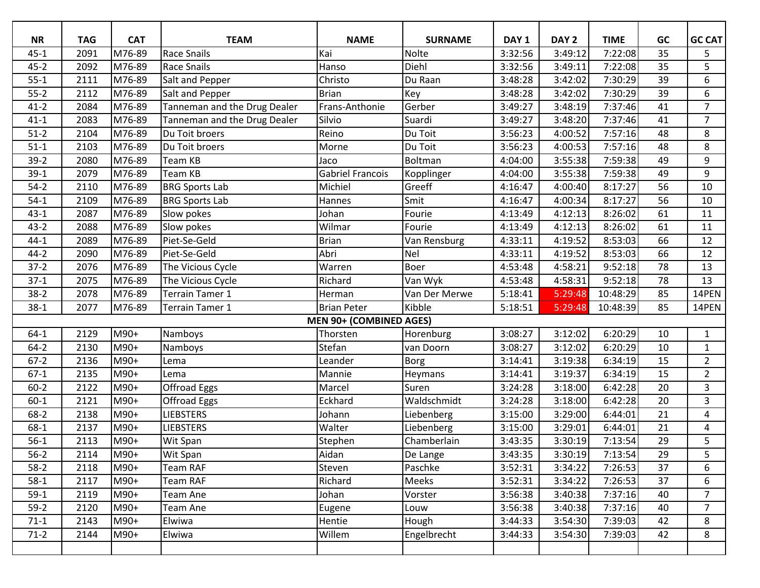| <b>NR</b> | <b>TAG</b> | <b>CAT</b> | <b>TEAM</b>                  | <b>NAME</b>                    | <b>SURNAME</b> | DAY <sub>1</sub> | DAY <sub>2</sub> | <b>TIME</b> | GC | <b>GC CAT</b>  |
|-----------|------------|------------|------------------------------|--------------------------------|----------------|------------------|------------------|-------------|----|----------------|
| $45 - 1$  | 2091       | M76-89     | <b>Race Snails</b>           | Kai                            | Nolte          | 3:32:56          | 3:49:12          | 7:22:08     | 35 | 5              |
| $45 - 2$  | 2092       | M76-89     | <b>Race Snails</b>           | Hanso                          | Diehl          | 3:32:56          | 3:49:11          | 7:22:08     | 35 | 5              |
| $55 - 1$  | 2111       | M76-89     | Salt and Pepper              | Christo                        | Du Raan        | 3:48:28          | 3:42:02          | 7:30:29     | 39 | 6              |
| $55-2$    | 2112       | M76-89     | Salt and Pepper              | <b>Brian</b>                   | Key            | 3:48:28          | 3:42:02          | 7:30:29     | 39 | 6              |
| $41 - 2$  | 2084       | M76-89     | Tanneman and the Drug Dealer | Frans-Anthonie                 | Gerber         | 3:49:27          | 3:48:19          | 7:37:46     | 41 | $\overline{7}$ |
| $41 - 1$  | 2083       | M76-89     | Tanneman and the Drug Dealer | Silvio                         | Suardi         | 3:49:27          | 3:48:20          | 7:37:46     | 41 | $\overline{7}$ |
| $51-2$    | 2104       | M76-89     | Du Toit broers               | Reino                          | Du Toit        | 3:56:23          | 4:00:52          | 7:57:16     | 48 | 8              |
| $51-1$    | 2103       | M76-89     | Du Toit broers               | Morne                          | Du Toit        | 3:56:23          | 4:00:53          | 7:57:16     | 48 | 8              |
| $39-2$    | 2080       | M76-89     | Team KB                      | Jaco                           | Boltman        | 4:04:00          | 3:55:38          | 7:59:38     | 49 | 9              |
| $39-1$    | 2079       | M76-89     | Team KB                      | <b>Gabriel Francois</b>        | Kopplinger     | 4:04:00          | 3:55:38          | 7:59:38     | 49 | 9              |
| $54-2$    | 2110       | M76-89     | <b>BRG Sports Lab</b>        | Michiel                        | Greeff         | 4:16:47          | 4:00:40          | 8:17:27     | 56 | $10\,$         |
| $54-1$    | 2109       | M76-89     | <b>BRG Sports Lab</b>        | Hannes                         | Smit           | 4:16:47          | 4:00:34          | 8:17:27     | 56 | 10             |
| $43 - 1$  | 2087       | M76-89     | Slow pokes                   | Johan                          | Fourie         | 4:13:49          | 4:12:13          | 8:26:02     | 61 | 11             |
| $43 - 2$  | 2088       | M76-89     | Slow pokes                   | Wilmar                         | Fourie         | 4:13:49          | 4:12:13          | 8:26:02     | 61 | 11             |
| $44 - 1$  | 2089       | M76-89     | Piet-Se-Geld                 | Brian                          | Van Rensburg   | 4:33:11          | 4:19:52          | 8:53:03     | 66 | 12             |
| $44 - 2$  | 2090       | M76-89     | Piet-Se-Geld                 | Abri                           | <b>Nel</b>     | 4:33:11          | 4:19:52          | 8:53:03     | 66 | 12             |
| $37-2$    | 2076       | M76-89     | The Vicious Cycle            | Warren                         | Boer           | 4:53:48          | 4:58:21          | 9:52:18     | 78 | 13             |
| $37-1$    | 2075       | M76-89     | The Vicious Cycle            | Richard                        | Van Wyk        | 4:53:48          | 4:58:31          | 9:52:18     | 78 | 13             |
| $38-2$    | 2078       | M76-89     | Terrain Tamer 1              | Herman                         | Van Der Merwe  | 5:18:41          | 5:29:48          | 10:48:29    | 85 | 14PEN          |
| $38 - 1$  | 2077       | M76-89     | Terrain Tamer 1              | <b>Brian Peter</b>             | Kibble         | 5:18:51          | 5:29:48          | 10:48:39    | 85 | 14PEN          |
|           |            |            |                              | <b>MEN 90+ (COMBINED AGES)</b> |                |                  |                  |             |    |                |
| $64-1$    | 2129       | M90+       | Namboys                      | Thorsten                       | Horenburg      | 3:08:27          | 3:12:02          | 6:20:29     | 10 | $\mathbf{1}$   |
| $64 - 2$  | 2130       | M90+       | Namboys                      | Stefan                         | van Doorn      | 3:08:27          | 3:12:02          | 6:20:29     | 10 | $\mathbf{1}$   |
| $67-2$    | 2136       | M90+       | Lema                         | Leander                        | Borg           | 3:14:41          | 3:19:38          | 6:34:19     | 15 | $\overline{2}$ |
| $67-1$    | 2135       | M90+       | Lema                         | Mannie                         | Heymans        | 3:14:41          | 3:19:37          | 6:34:19     | 15 | $\overline{2}$ |
| $60 - 2$  | 2122       | M90+       | Offroad Eggs                 | Marcel                         | Suren          | 3:24:28          | 3:18:00          | 6:42:28     | 20 | 3              |
| $60 - 1$  | 2121       | M90+       | Offroad Eggs                 | Eckhard                        | Waldschmidt    | 3:24:28          | 3:18:00          | 6:42:28     | 20 | 3              |
| $68-2$    | 2138       | M90+       | <b>LIEBSTERS</b>             | Johann                         | Liebenberg     | 3:15:00          | 3:29:00          | 6:44:01     | 21 | $\overline{4}$ |
| $68-1$    | 2137       | M90+       | <b>LIEBSTERS</b>             | Walter                         | Liebenberg     | 3:15:00          | 3:29:01          | 6:44:01     | 21 | $\overline{4}$ |
| $56-1$    | 2113       | M90+       | Wit Span                     | Stephen                        | Chamberlain    | 3:43:35          | 3:30:19          | 7:13:54     | 29 | 5              |
| $56-2$    | 2114       | M90+       | Wit Span                     | Aidan                          | De Lange       | 3:43:35          | 3:30:19          | 7:13:54     | 29 | 5              |
| $58-2$    | 2118       | M90+       | Team RAF                     | Steven                         | Paschke        | 3:52:31          | 3:34:22          | 7:26:53     | 37 | 6              |
| $58-1$    | 2117       | M90+       | Team RAF                     | Richard                        | Meeks          | 3:52:31          | 3:34:22          | 7:26:53     | 37 | 6              |
| $59-1$    | 2119       | M90+       | Team Ane                     | Johan                          | Vorster        | 3:56:38          | 3:40:38          | 7:37:16     | 40 | 7              |
| $59-2$    | 2120       | M90+       | Team Ane                     | Eugene                         | Louw           | 3:56:38          | 3:40:38          | 7:37:16     | 40 | $\overline{7}$ |
| $71-1$    | 2143       | M90+       | Elwiwa                       | Hentie                         | Hough          | 3:44:33          | 3:54:30          | 7:39:03     | 42 | 8              |
| $71-2$    | 2144       | M90+       | Elwiwa                       | Willem                         | Engelbrecht    | 3:44:33          | 3:54:30          | 7:39:03     | 42 | 8              |
|           |            |            |                              |                                |                |                  |                  |             |    |                |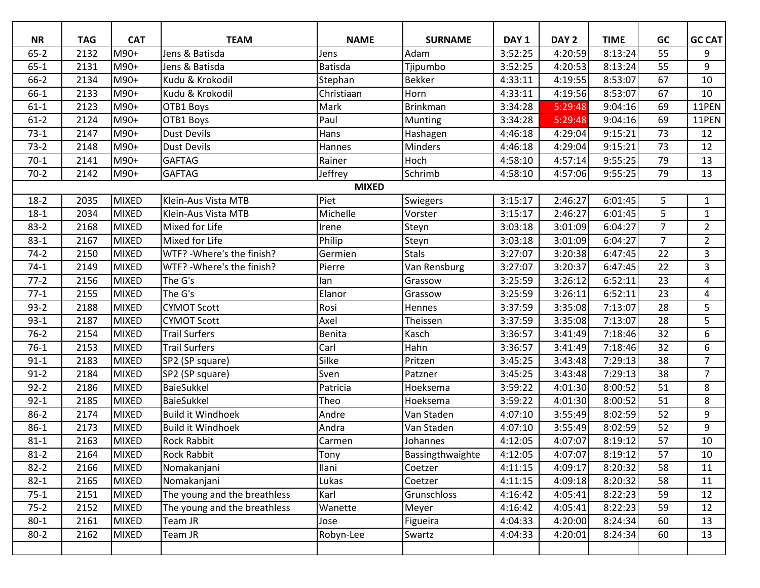| <b>NR</b>    | <b>TAG</b> | <b>CAT</b>   | <b>TEAM</b>                  | <b>NAME</b>    | <b>SURNAME</b>   | DAY <sub>1</sub> | DAY <sub>2</sub> | <b>TIME</b> | GC             | <b>GC CAT</b>  |  |
|--------------|------------|--------------|------------------------------|----------------|------------------|------------------|------------------|-------------|----------------|----------------|--|
| $65 - 2$     | 2132       | M90+         | Jens & Batisda               | Jens           | Adam             | 3:52:25          | 4:20:59          | 8:13:24     | 55             | 9              |  |
| $65 - 1$     | 2131       | M90+         | Jens & Batisda               | <b>Batisda</b> | Tjipumbo         | 3:52:25          | 4:20:53          | 8:13:24     | 55             | 9              |  |
| $66-2$       | 2134       | M90+         | Kudu & Krokodil              | Stephan        | <b>Bekker</b>    | 4:33:11          | 4:19:55          | 8:53:07     | 67             | 10             |  |
| 66-1         | 2133       | M90+         | Kudu & Krokodil              | Christiaan     | Horn             | 4:33:11          | 4:19:56          | 8:53:07     | 67             | 10             |  |
| $61-1$       | 2123       | M90+         | OTB1 Boys                    | Mark           | <b>Brinkman</b>  | 3:34:28          | 5:29:48          | 9:04:16     | 69             | 11PEN          |  |
| $61-2$       | 2124       | M90+         | OTB1 Boys                    | Paul           | Munting          | 3:34:28          | 5:29:48          | 9:04:16     | 69             | 11PEN          |  |
| $73-1$       | 2147       | M90+         | <b>Dust Devils</b>           | Hans           | Hashagen         | 4:46:18          | 4:29:04          | 9:15:21     | 73             | 12             |  |
| $73-2$       | 2148       | M90+         | <b>Dust Devils</b>           | Hannes         | Minders          | 4:46:18          | 4:29:04          | 9:15:21     | 73             | 12             |  |
| $70-1$       | 2141       | M90+         | <b>GAFTAG</b>                | Rainer         | Hoch             | 4:58:10          | 4:57:14          | 9:55:25     | 79             | 13             |  |
| $70-2$       | 2142       | M90+         | <b>GAFTAG</b>                | Jeffrey        | Schrimb          | 4:58:10          | 4:57:06          | 9:55:25     | 79             | 13             |  |
| <b>MIXED</b> |            |              |                              |                |                  |                  |                  |             |                |                |  |
| $18-2$       | 2035       | <b>MIXED</b> | Klein-Aus Vista MTB          | Piet           | Swiegers         | 3:15:17          | 2:46:27          | 6:01:45     | 5              | $\mathbf{1}$   |  |
| $18 - 1$     | 2034       | <b>MIXED</b> | Klein-Aus Vista MTB          | Michelle       | Vorster          | 3:15:17          | 2:46:27          | 6:01:45     | 5              | $\mathbf{1}$   |  |
| $83 - 2$     | 2168       | <b>MIXED</b> | Mixed for Life               | Irene          | Steyn            | 3:03:18          | 3:01:09          | 6:04:27     | $\overline{7}$ | $\overline{2}$ |  |
| $83 - 1$     | 2167       | <b>MIXED</b> | Mixed for Life               | Philip         | Steyn            | 3:03:18          | 3:01:09          | 6:04:27     | $\overline{7}$ | $\overline{2}$ |  |
| $74-2$       | 2150       | <b>MIXED</b> | WTF? - Where's the finish?   | Germien        | <b>Stals</b>     | 3:27:07          | 3:20:38          | 6:47:45     | 22             | 3              |  |
| $74-1$       | 2149       | <b>MIXED</b> | WTF? - Where's the finish?   | Pierre         | Van Rensburg     | 3:27:07          | 3:20:37          | 6:47:45     | 22             | 3              |  |
| $77-2$       | 2156       | <b>MIXED</b> | The G's                      | lan            | Grassow          | 3:25:59          | 3:26:12          | 6:52:11     | 23             | 4              |  |
| $77-1$       | 2155       | <b>MIXED</b> | The G's                      | Elanor         | Grassow          | 3:25:59          | 3:26:11          | 6:52:11     | 23             | $\overline{4}$ |  |
| $93 - 2$     | 2188       | <b>MIXED</b> | <b>CYMOT Scott</b>           | Rosi           | Hennes           | 3:37:59          | 3:35:08          | 7:13:07     | 28             | 5              |  |
| $93-1$       | 2187       | <b>MIXED</b> | <b>CYMOT Scott</b>           | Axel           | Theissen         | 3:37:59          | 3:35:08          | 7:13:07     | 28             | 5              |  |
| $76 - 2$     | 2154       | <b>MIXED</b> | <b>Trail Surfers</b>         | Benita         | Kasch            | 3:36:57          | 3:41:49          | 7:18:46     | 32             | 6              |  |
| $76-1$       | 2153       | <b>MIXED</b> | <b>Trail Surfers</b>         | Carl           | Hahn             | 3:36:57          | 3:41:49          | 7:18:46     | 32             | 6              |  |
| $91 - 1$     | 2183       | <b>MIXED</b> | SP2 (SP square)              | Silke          | Pritzen          | 3:45:25          | 3:43:48          | 7:29:13     | 38             | $\overline{7}$ |  |
| $91 - 2$     | 2184       | <b>MIXED</b> | SP2 (SP square)              | Sven           | Patzner          | 3:45:25          | 3:43:48          | 7:29:13     | 38             | $\overline{7}$ |  |
| $92 - 2$     | 2186       | <b>MIXED</b> | BaieSukkel                   | Patricia       | Hoeksema         | 3:59:22          | 4:01:30          | 8:00:52     | 51             | 8              |  |
| $92 - 1$     | 2185       | <b>MIXED</b> | <b>BaieSukkel</b>            | Theo           | Hoeksema         | 3:59:22          | 4:01:30          | 8:00:52     | 51             | 8              |  |
| $86-2$       | 2174       | <b>MIXED</b> | <b>Build it Windhoek</b>     | Andre          | Van Staden       | 4:07:10          | 3:55:49          | 8:02:59     | 52             | 9              |  |
| $86-1$       | 2173       | <b>MIXED</b> | <b>Build it Windhoek</b>     | Andra          | Van Staden       | 4:07:10          | 3:55:49          | 8:02:59     | 52             | 9              |  |
| $81 - 1$     | 2163       | <b>MIXED</b> | <b>Rock Rabbit</b>           | Carmen         | Johannes         | 4:12:05          | 4:07:07          | 8:19:12     | 57             | 10             |  |
| $81 - 2$     | 2164       | <b>MIXED</b> | <b>Rock Rabbit</b>           | Tony           | Bassingthwaighte | 4:12:05          | 4:07:07          | 8:19:12     | 57             | 10             |  |
| $82 - 2$     | 2166       | <b>MIXED</b> | Nomakanjani                  | Ilani          | Coetzer          | 4:11:15          | 4:09:17          | 8:20:32     | 58             | 11             |  |
| $82 - 1$     | 2165       | <b>MIXED</b> | Nomakanjani                  | Lukas          | Coetzer          | 4:11:15          | 4:09:18          | 8:20:32     | 58             | 11             |  |
| $75-1$       | 2151       | <b>MIXED</b> | The young and the breathless | Karl           | Grunschloss      | 4:16:42          | 4:05:41          | 8:22:23     | 59             | 12             |  |
| $75-2$       | 2152       | <b>MIXED</b> | The young and the breathless | Wanette        | Meyer            | 4:16:42          | 4:05:41          | 8:22:23     | 59             | 12             |  |
| $80 - 1$     | 2161       | <b>MIXED</b> | Team JR                      | Jose           | Figueira         | 4:04:33          | 4:20:00          | 8:24:34     | 60             | 13             |  |
| $80 - 2$     | 2162       | <b>MIXED</b> | Team JR                      | Robyn-Lee      | Swartz           | 4:04:33          | 4:20:01          | 8:24:34     | 60             | 13             |  |
|              |            |              |                              |                |                  |                  |                  |             |                |                |  |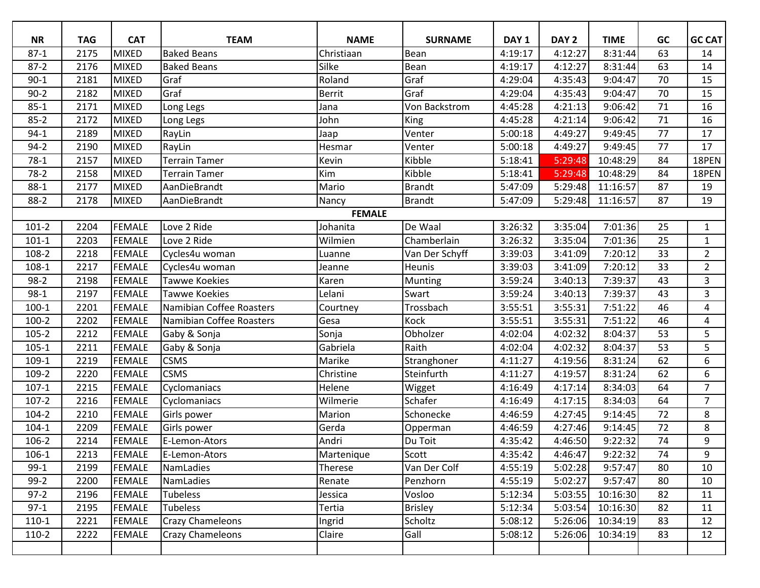| <b>NR</b> | <b>TAG</b>    | <b>CAT</b>    | <b>TEAM</b>              | <b>NAME</b>   | <b>SURNAME</b> | DAY <sub>1</sub> | DAY <sub>2</sub> | <b>TIME</b> | GC | <b>GC CAT</b>  |  |
|-----------|---------------|---------------|--------------------------|---------------|----------------|------------------|------------------|-------------|----|----------------|--|
| $87-1$    | 2175          | <b>MIXED</b>  | <b>Baked Beans</b>       | Christiaan    | Bean           | 4:19:17          | 4:12:27          | 8:31:44     | 63 | 14             |  |
| $87 - 2$  | 2176          | <b>MIXED</b>  | <b>Baked Beans</b>       | Silke         | Bean           | 4:19:17          | 4:12:27          | 8:31:44     | 63 | 14             |  |
| $90 - 1$  | 2181          | <b>MIXED</b>  | Graf                     | Roland        | Graf           | 4:29:04          | 4:35:43          | 9:04:47     | 70 | 15             |  |
| $90 - 2$  | 2182          | <b>MIXED</b>  | Graf                     | <b>Berrit</b> | Graf           | 4:29:04          | 4:35:43          | 9:04:47     | 70 | 15             |  |
| $85 - 1$  | 2171          | <b>MIXED</b>  | Long Legs                | Jana          | Von Backstrom  | 4:45:28          | 4:21:13          | 9:06:42     | 71 | 16             |  |
| $85 - 2$  | 2172          | <b>MIXED</b>  | Long Legs                | John          | King           | 4:45:28          | 4:21:14          | 9:06:42     | 71 | 16             |  |
| $94-1$    | 2189          | <b>MIXED</b>  | RayLin                   | Jaap          | Venter         | 5:00:18          | 4:49:27          | 9:49:45     | 77 | 17             |  |
| $94-2$    | 2190          | <b>MIXED</b>  | RayLin                   | Hesmar        | Venter         | 5:00:18          | 4:49:27          | 9:49:45     | 77 | 17             |  |
| $78-1$    | 2157          | <b>MIXED</b>  | <b>Terrain Tamer</b>     | Kevin         | Kibble         | 5:18:41          | 5:29:48          | 10:48:29    | 84 | 18PEN          |  |
| $78-2$    | 2158          | <b>MIXED</b>  | <b>Terrain Tamer</b>     | Kim           | Kibble         | 5:18:41          | 5:29:48          | 10:48:29    | 84 | 18PEN          |  |
| $88-1$    | 2177          | <b>MIXED</b>  | AanDieBrandt             | Mario         | <b>Brandt</b>  | 5:47:09          | 5:29:48          | 11:16:57    | 87 | 19             |  |
| $88-2$    | 2178          | <b>MIXED</b>  | AanDieBrandt             | Nancy         | <b>Brandt</b>  | 5:47:09          | 5:29:48          | 11:16:57    | 87 | 19             |  |
|           | <b>FEMALE</b> |               |                          |               |                |                  |                  |             |    |                |  |
| $101-2$   | 2204          | <b>FEMALE</b> | Love 2 Ride              | Johanita      | De Waal        | 3:26:32          | 3:35:04          | 7:01:36     | 25 | $\mathbf{1}$   |  |
| $101-1$   | 2203          | <b>FEMALE</b> | Love 2 Ride              | Wilmien       | Chamberlain    | 3:26:32          | 3:35:04          | 7:01:36     | 25 | $\mathbf{1}$   |  |
| 108-2     | 2218          | <b>FEMALE</b> | Cycles4u woman           | Luanne        | Van Der Schyff | 3:39:03          | 3:41:09          | 7:20:12     | 33 | $\overline{2}$ |  |
| 108-1     | 2217          | <b>FEMALE</b> | Cycles4u woman           | Jeanne        | <b>Heunis</b>  | 3:39:03          | 3:41:09          | 7:20:12     | 33 | $\overline{2}$ |  |
| $98-2$    | 2198          | <b>FEMALE</b> | <b>Tawwe Koekies</b>     | Karen         | Munting        | 3:59:24          | 3:40:13          | 7:39:37     | 43 | $\overline{3}$ |  |
| $98-1$    | 2197          | <b>FEMALE</b> | <b>Tawwe Koekies</b>     | Lelani        | Swart          | 3:59:24          | 3:40:13          | 7:39:37     | 43 | 3              |  |
| $100-1$   | 2201          | <b>FEMALE</b> | Namibian Coffee Roasters | Courtney      | Trossbach      | 3:55:51          | 3:55:31          | 7:51:22     | 46 | 4              |  |
| $100 - 2$ | 2202          | <b>FEMALE</b> | Namibian Coffee Roasters | Gesa          | Kock           | 3:55:51          | 3:55:31          | 7:51:22     | 46 | $\overline{4}$ |  |
| $105 - 2$ | 2212          | <b>FEMALE</b> | Gaby & Sonja             | Sonja         | Obholzer       | 4:02:04          | 4:02:32          | 8:04:37     | 53 | 5              |  |
| $105 - 1$ | 2211          | <b>FEMALE</b> | Gaby & Sonja             | Gabriela      | Raith          | 4:02:04          | 4:02:32          | 8:04:37     | 53 | 5              |  |
| $109-1$   | 2219          | <b>FEMALE</b> | <b>CSMS</b>              | Marike        | Stranghoner    | 4:11:27          | 4:19:56          | 8:31:24     | 62 | 6              |  |
| 109-2     | 2220          | <b>FEMALE</b> | <b>CSMS</b>              | Christine     | Steinfurth     | 4:11:27          | 4:19:57          | 8:31:24     | 62 | 6              |  |
| $107-1$   | 2215          | <b>FEMALE</b> | Cyclomaniacs             | Helene        | Wigget         | 4:16:49          | 4:17:14          | 8:34:03     | 64 | $\overline{7}$ |  |
| $107 - 2$ | 2216          | <b>FEMALE</b> | Cyclomaniacs             | Wilmerie      | Schafer        | 4:16:49          | 4:17:15          | 8:34:03     | 64 | $\overline{7}$ |  |
| $104 - 2$ | 2210          | <b>FEMALE</b> | Girls power              | Marion        | Schonecke      | 4:46:59          | 4:27:45          | 9:14:45     | 72 | 8              |  |
| $104-1$   | 2209          | <b>FEMALE</b> | Girls power              | Gerda         | Opperman       | 4:46:59          | 4:27:46          | 9:14:45     | 72 | 8              |  |
| 106-2     | 2214          | <b>FEMALE</b> | E-Lemon-Ators            | Andri         | Du Toit        | 4:35:42          | 4:46:50          | 9:22:32     | 74 | 9              |  |
| 106-1     | 2213          | <b>FEMALE</b> | E-Lemon-Ators            | Martenique    | Scott          | 4:35:42          | 4:46:47          | 9:22:32     | 74 | 9              |  |
| $99-1$    | 2199          | <b>FEMALE</b> | NamLadies                | Therese       | Van Der Colf   | 4:55:19          | 5:02:28          | 9:57:47     | 80 | 10             |  |
| $99-2$    | 2200          | <b>FEMALE</b> | NamLadies                | Renate        | Penzhorn       | 4:55:19          | 5:02:27          | 9:57:47     | 80 | 10             |  |
| $97-2$    | 2196          | <b>FEMALE</b> | <b>Tubeless</b>          | Jessica       | Vosloo         | 5:12:34          | 5:03:55          | 10:16:30    | 82 | 11             |  |
| $97-1$    | 2195          | <b>FEMALE</b> | <b>Tubeless</b>          | Tertia        | <b>Brisley</b> | 5:12:34          | 5:03:54          | 10:16:30    | 82 | 11             |  |
| $110-1$   | 2221          | <b>FEMALE</b> | <b>Crazy Chameleons</b>  | Ingrid        | Scholtz        | 5:08:12          | 5:26:06          | 10:34:19    | 83 | 12             |  |
| $110-2$   | 2222          | <b>FEMALE</b> | <b>Crazy Chameleons</b>  | Claire        | Gall           | 5:08:12          | 5:26:06          | 10:34:19    | 83 | 12             |  |
|           |               |               |                          |               |                |                  |                  |             |    |                |  |